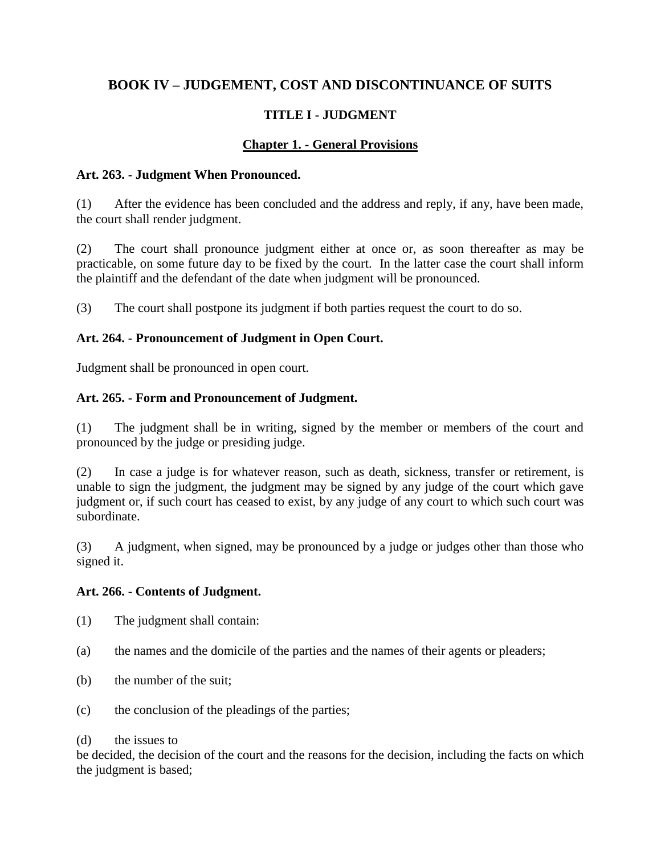# **BOOK IV – JUDGEMENT, COST AND DISCONTINUANCE OF SUITS**

# **TITLE I - JUDGMENT**

## **Chapter 1. - General Provisions**

### **Art. 263. - Judgment When Pronounced.**

(1) After the evidence has been concluded and the address and reply, if any, have been made, the court shall render judgment.

(2) The court shall pronounce judgment either at once or, as soon thereafter as may be practicable, on some future day to be fixed by the court. In the latter case the court shall inform the plaintiff and the defendant of the date when judgment will be pronounced.

(3) The court shall postpone its judgment if both parties request the court to do so.

## **Art. 264. - Pronouncement of Judgment in Open Court.**

Judgment shall be pronounced in open court.

## **Art. 265. - Form and Pronouncement of Judgment.**

(1) The judgment shall be in writing, signed by the member or members of the court and pronounced by the judge or presiding judge.

(2) In case a judge is for whatever reason, such as death, sickness, transfer or retirement, is unable to sign the judgment, the judgment may be signed by any judge of the court which gave judgment or, if such court has ceased to exist, by any judge of any court to which such court was subordinate.

(3) A judgment, when signed, may be pronounced by a judge or judges other than those who signed it.

### **Art. 266. - Contents of Judgment.**

- (1) The judgment shall contain:
- (a) the names and the domicile of the parties and the names of their agents or pleaders;
- (b) the number of the suit;
- (c) the conclusion of the pleadings of the parties;

### (d) the issues to

be decided, the decision of the court and the reasons for the decision, including the facts on which the judgment is based;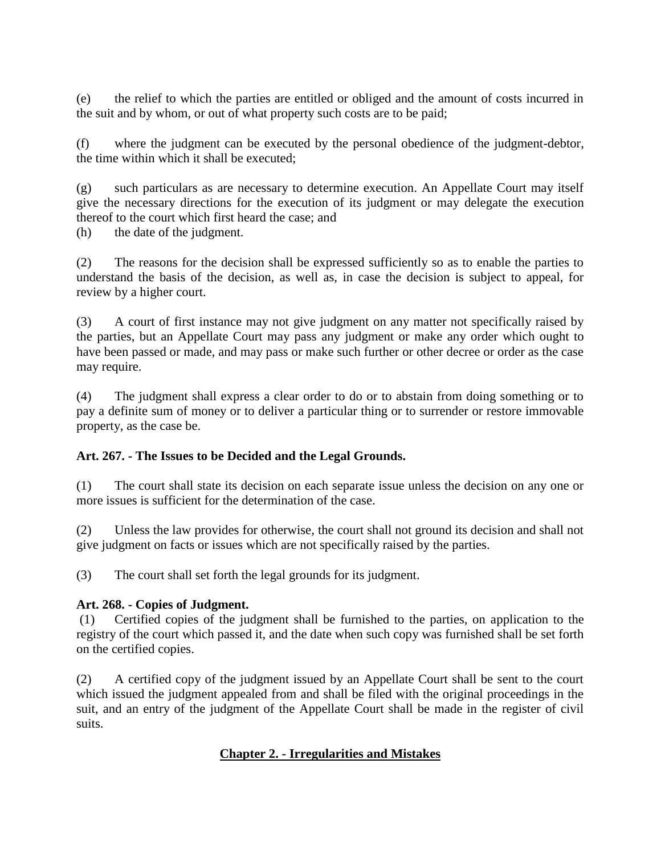(e) the relief to which the parties are entitled or obliged and the amount of costs incurred in the suit and by whom, or out of what property such costs are to be paid;

(f) where the judgment can be executed by the personal obedience of the judgment-debtor, the time within which it shall be executed;

(g) such particulars as are necessary to determine execution. An Appellate Court may itself give the necessary directions for the execution of its judgment or may delegate the execution thereof to the court which first heard the case; and

(h) the date of the judgment.

(2) The reasons for the decision shall be expressed sufficiently so as to enable the parties to understand the basis of the decision, as well as, in case the decision is subject to appeal, for review by a higher court.

(3) A court of first instance may not give judgment on any matter not specifically raised by the parties, but an Appellate Court may pass any judgment or make any order which ought to have been passed or made, and may pass or make such further or other decree or order as the case may require.

(4) The judgment shall express a clear order to do or to abstain from doing something or to pay a definite sum of money or to deliver a particular thing or to surrender or restore immovable property, as the case be.

### **Art. 267. - The Issues to be Decided and the Legal Grounds.**

(1) The court shall state its decision on each separate issue unless the decision on any one or more issues is sufficient for the determination of the case.

(2) Unless the law provides for otherwise, the court shall not ground its decision and shall not give judgment on facts or issues which are not specifically raised by the parties.

(3) The court shall set forth the legal grounds for its judgment.

### **Art. 268. - Copies of Judgment.**

(1) Certified copies of the judgment shall be furnished to the parties, on application to the registry of the court which passed it, and the date when such copy was furnished shall be set forth on the certified copies.

(2) A certified copy of the judgment issued by an Appellate Court shall be sent to the court which issued the judgment appealed from and shall be filed with the original proceedings in the suit, and an entry of the judgment of the Appellate Court shall be made in the register of civil suits.

### **Chapter 2. - Irregularities and Mistakes**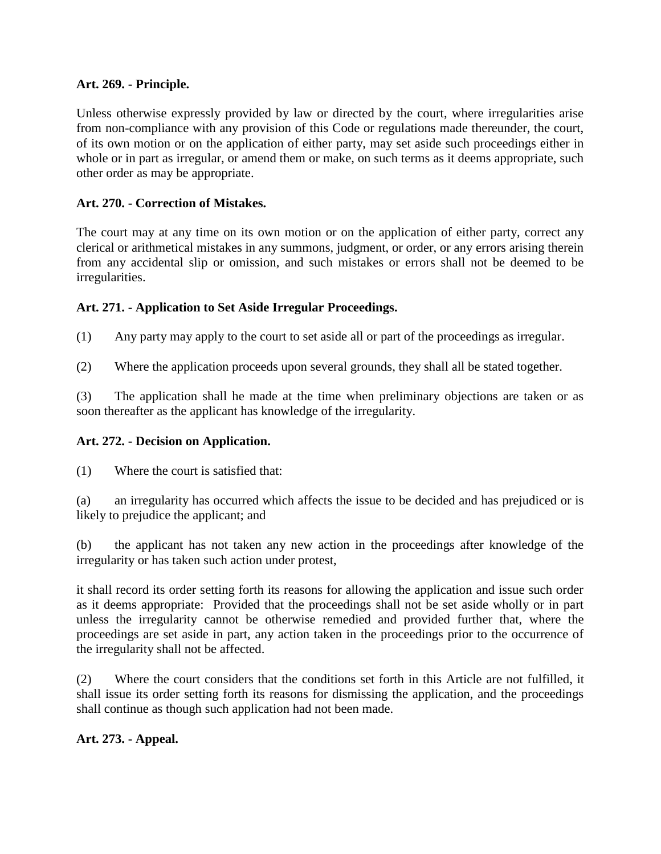#### **Art. 269. - Principle.**

Unless otherwise expressly provided by law or directed by the court, where irregularities arise from non-compliance with any provision of this Code or regulations made thereunder, the court, of its own motion or on the application of either party, may set aside such proceedings either in whole or in part as irregular, or amend them or make, on such terms as it deems appropriate, such other order as may be appropriate.

### **Art. 270. - Correction of Mistakes.**

The court may at any time on its own motion or on the application of either party, correct any clerical or arithmetical mistakes in any summons, judgment, or order, or any errors arising therein from any accidental slip or omission, and such mistakes or errors shall not be deemed to be irregularities.

#### **Art. 271. - Application to Set Aside Irregular Proceedings.**

(1) Any party may apply to the court to set aside all or part of the proceedings as irregular.

(2) Where the application proceeds upon several grounds, they shall all be stated together.

(3) The application shall he made at the time when preliminary objections are taken or as soon thereafter as the applicant has knowledge of the irregularity.

#### **Art. 272. - Decision on Application.**

(1) Where the court is satisfied that:

(a) an irregularity has occurred which affects the issue to be decided and has prejudiced or is likely to prejudice the applicant; and

(b) the applicant has not taken any new action in the proceedings after knowledge of the irregularity or has taken such action under protest,

it shall record its order setting forth its reasons for allowing the application and issue such order as it deems appropriate: Provided that the proceedings shall not be set aside wholly or in part unless the irregularity cannot be otherwise remedied and provided further that, where the proceedings are set aside in part, any action taken in the proceedings prior to the occurrence of the irregularity shall not be affected.

(2) Where the court considers that the conditions set forth in this Article are not fulfilled, it shall issue its order setting forth its reasons for dismissing the application, and the proceedings shall continue as though such application had not been made.

### **Art. 273. - Appeal.**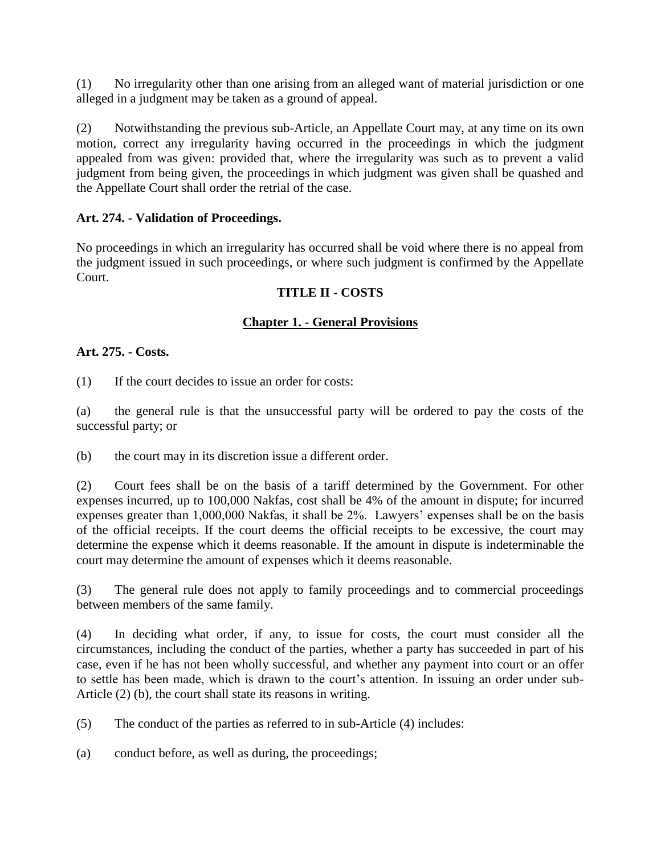(1) No irregularity other than one arising from an alleged want of material jurisdiction or one alleged in a judgment may be taken as a ground of appeal.

(2) Notwithstanding the previous sub-Article, an Appellate Court may, at any time on its own motion, correct any irregularity having occurred in the proceedings in which the judgment appealed from was given: provided that, where the irregularity was such as to prevent a valid judgment from being given, the proceedings in which judgment was given shall be quashed and the Appellate Court shall order the retrial of the case.

### **Art. 274. - Validation of Proceedings.**

No proceedings in which an irregularity has occurred shall be void where there is no appeal from the judgment issued in such proceedings, or where such judgment is confirmed by the Appellate Court.

#### **TITLE II - COSTS**

#### **Chapter 1. - General Provisions**

#### **Art. 275. - Costs.**

(1) If the court decides to issue an order for costs:

(a) the general rule is that the unsuccessful party will be ordered to pay the costs of the successful party; or

(b) the court may in its discretion issue a different order.

(2) Court fees shall be on the basis of a tariff determined by the Government. For other expenses incurred, up to 100,000 Nakfas, cost shall be 4% of the amount in dispute; for incurred expenses greater than 1,000,000 Nakfas, it shall be 2%. Lawyers' expenses shall be on the basis of the official receipts. If the court deems the official receipts to be excessive, the court may determine the expense which it deems reasonable. If the amount in dispute is indeterminable the court may determine the amount of expenses which it deems reasonable.

(3) The general rule does not apply to family proceedings and to commercial proceedings between members of the same family.

(4) In deciding what order, if any, to issue for costs, the court must consider all the circumstances, including the conduct of the parties, whether a party has succeeded in part of his case, even if he has not been wholly successful, and whether any payment into court or an offer to settle has been made, which is drawn to the court's attention. In issuing an order under sub-Article (2) (b), the court shall state its reasons in writing.

(5) The conduct of the parties as referred to in sub-Article (4) includes:

(a) conduct before, as well as during, the proceedings;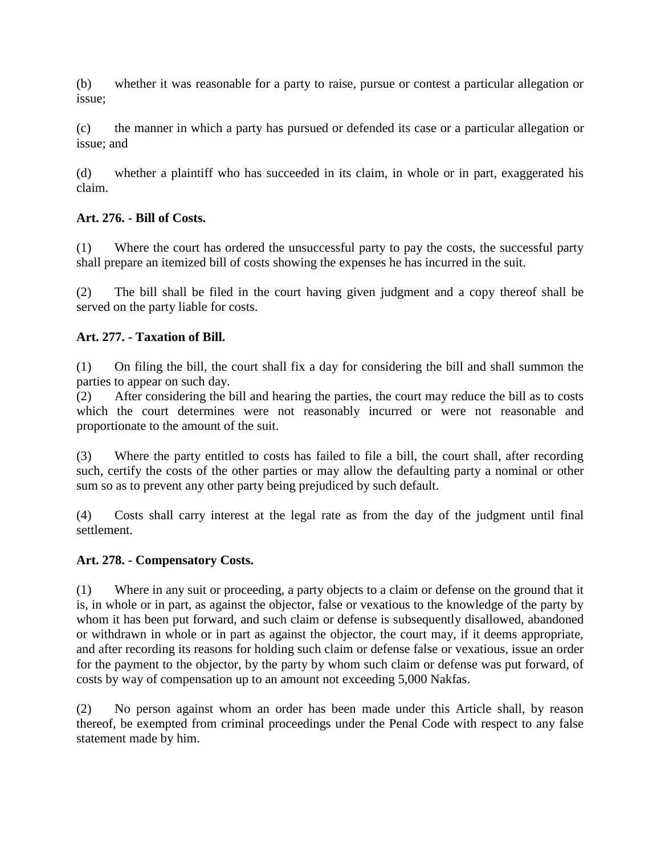(b) whether it was reasonable for a party to raise, pursue or contest a particular allegation or issue;

(c) the manner in which a party has pursued or defended its case or a particular allegation or issue; and

(d) whether a plaintiff who has succeeded in its claim, in whole or in part, exaggerated his claim.

### **Art. 276. - Bill of Costs.**

(1) Where the court has ordered the unsuccessful party to pay the costs, the successful party shall prepare an itemized bill of costs showing the expenses he has incurred in the suit.

(2) The bill shall be filed in the court having given judgment and a copy thereof shall be served on the party liable for costs.

## **Art. 277. - Taxation of Bill.**

(1) On filing the bill, the court shall fix a day for considering the bill and shall summon the parties to appear on such day.

(2) After considering the bill and hearing the parties, the court may reduce the bill as to costs which the court determines were not reasonably incurred or were not reasonable and proportionate to the amount of the suit.

(3) Where the party entitled to costs has failed to file a bill, the court shall, after recording such, certify the costs of the other parties or may allow the defaulting party a nominal or other sum so as to prevent any other party being prejudiced by such default.

(4) Costs shall carry interest at the legal rate as from the day of the judgment until final settlement.

### **Art. 278. - Compensatory Costs.**

(1) Where in any suit or proceeding, a party objects to a claim or defense on the ground that it is, in whole or in part, as against the objector, false or vexatious to the knowledge of the party by whom it has been put forward, and such claim or defense is subsequently disallowed, abandoned or withdrawn in whole or in part as against the objector, the court may, if it deems appropriate, and after recording its reasons for holding such claim or defense false or vexatious, issue an order for the payment to the objector, by the party by whom such claim or defense was put forward, of costs by way of compensation up to an amount not exceeding 5,000 Nakfas.

(2) No person against whom an order has been made under this Article shall, by reason thereof, be exempted from criminal proceedings under the Penal Code with respect to any false statement made by him.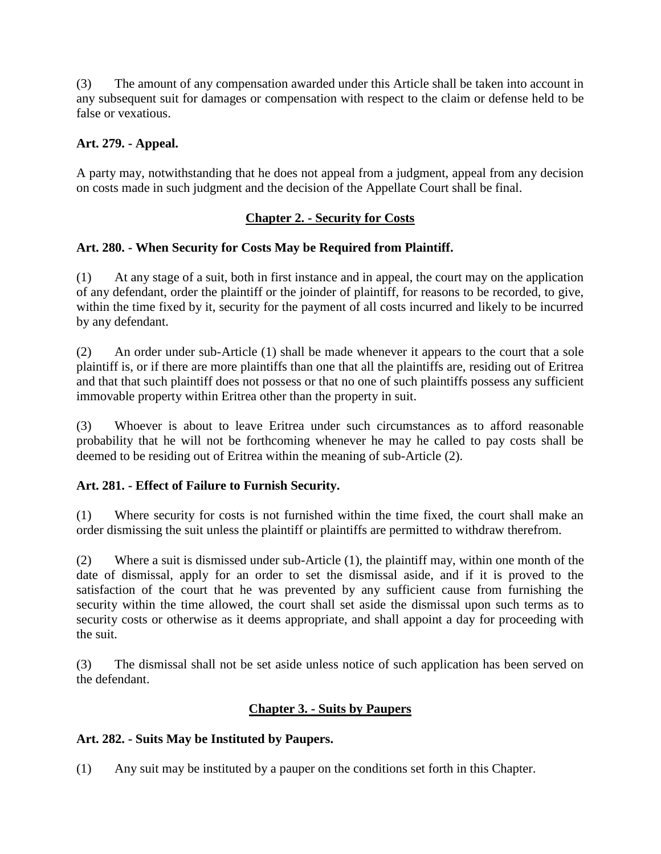(3) The amount of any compensation awarded under this Article shall be taken into account in any subsequent suit for damages or compensation with respect to the claim or defense held to be false or vexatious.

## **Art. 279. - Appeal.**

A party may, notwithstanding that he does not appeal from a judgment, appeal from any decision on costs made in such judgment and the decision of the Appellate Court shall be final.

## **Chapter 2. - Security for Costs**

## **Art. 280. - When Security for Costs May be Required from Plaintiff.**

(1) At any stage of a suit, both in first instance and in appeal, the court may on the application of any defendant, order the plaintiff or the joinder of plaintiff, for reasons to be recorded, to give, within the time fixed by it, security for the payment of all costs incurred and likely to be incurred by any defendant.

(2) An order under sub-Article (1) shall be made whenever it appears to the court that a sole plaintiff is, or if there are more plaintiffs than one that all the plaintiffs are, residing out of Eritrea and that that such plaintiff does not possess or that no one of such plaintiffs possess any sufficient immovable property within Eritrea other than the property in suit.

(3) Whoever is about to leave Eritrea under such circumstances as to afford reasonable probability that he will not be forthcoming whenever he may he called to pay costs shall be deemed to be residing out of Eritrea within the meaning of sub-Article (2).

### **Art. 281. - Effect of Failure to Furnish Security.**

(1) Where security for costs is not furnished within the time fixed, the court shall make an order dismissing the suit unless the plaintiff or plaintiffs are permitted to withdraw therefrom.

(2) Where a suit is dismissed under sub-Article (1), the plaintiff may, within one month of the date of dismissal, apply for an order to set the dismissal aside, and if it is proved to the satisfaction of the court that he was prevented by any sufficient cause from furnishing the security within the time allowed, the court shall set aside the dismissal upon such terms as to security costs or otherwise as it deems appropriate, and shall appoint a day for proceeding with the suit.

(3) The dismissal shall not be set aside unless notice of such application has been served on the defendant.

## **Chapter 3. - Suits by Paupers**

### **Art. 282. - Suits May be Instituted by Paupers.**

(1) Any suit may be instituted by a pauper on the conditions set forth in this Chapter.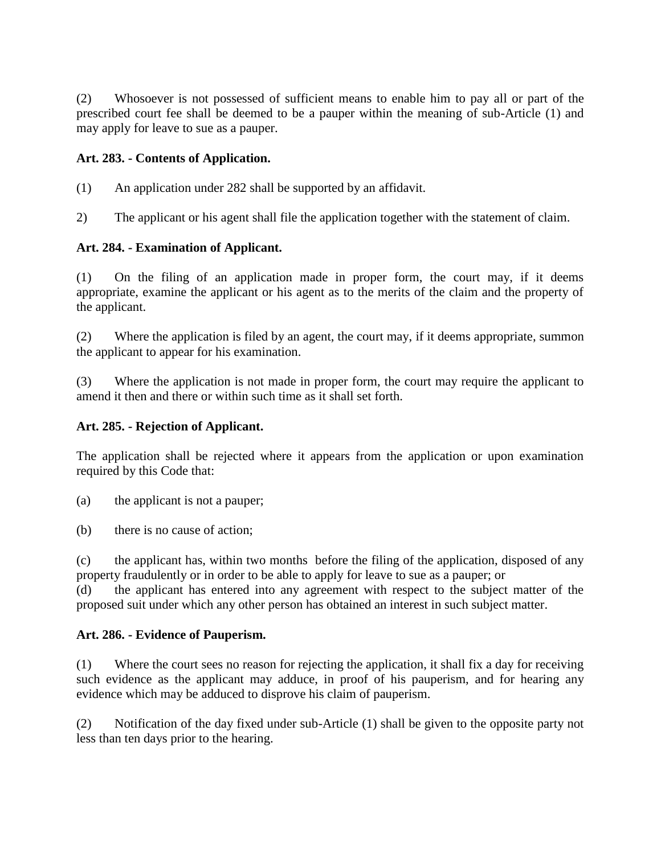(2) Whosoever is not possessed of sufficient means to enable him to pay all or part of the prescribed court fee shall be deemed to be a pauper within the meaning of sub-Article (1) and may apply for leave to sue as a pauper.

### **Art. 283. - Contents of Application.**

- (1) An application under 282 shall be supported by an affidavit.
- 2) The applicant or his agent shall file the application together with the statement of claim.

### **Art. 284. - Examination of Applicant.**

(1) On the filing of an application made in proper form, the court may, if it deems appropriate, examine the applicant or his agent as to the merits of the claim and the property of the applicant.

(2) Where the application is filed by an agent, the court may, if it deems appropriate, summon the applicant to appear for his examination.

(3) Where the application is not made in proper form, the court may require the applicant to amend it then and there or within such time as it shall set forth.

### **Art. 285. - Rejection of Applicant.**

The application shall be rejected where it appears from the application or upon examination required by this Code that:

(a) the applicant is not a pauper;

(b) there is no cause of action;

(c) the applicant has, within two months before the filing of the application, disposed of any property fraudulently or in order to be able to apply for leave to sue as a pauper; or

(d) the applicant has entered into any agreement with respect to the subject matter of the proposed suit under which any other person has obtained an interest in such subject matter.

### **Art. 286. - Evidence of Pauperism.**

(1) Where the court sees no reason for rejecting the application, it shall fix a day for receiving such evidence as the applicant may adduce, in proof of his pauperism, and for hearing any evidence which may be adduced to disprove his claim of pauperism.

(2) Notification of the day fixed under sub-Article (1) shall be given to the opposite party not less than ten days prior to the hearing.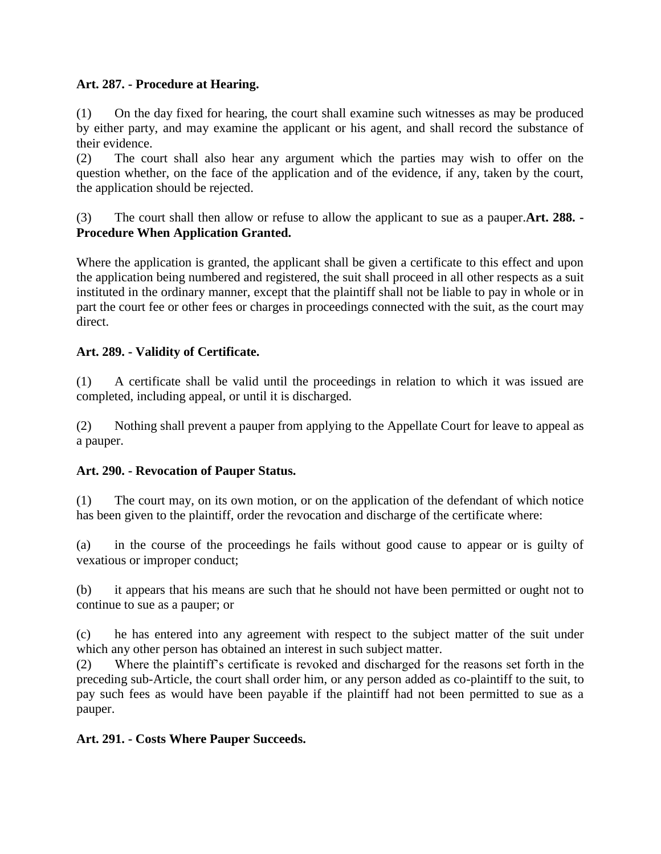### **Art. 287. - Procedure at Hearing.**

(1) On the day fixed for hearing, the court shall examine such witnesses as may be produced by either party, and may examine the applicant or his agent, and shall record the substance of their evidence.

(2) The court shall also hear any argument which the parties may wish to offer on the question whether, on the face of the application and of the evidence, if any, taken by the court, the application should be rejected.

(3) The court shall then allow or refuse to allow the applicant to sue as a pauper.**Art. 288. - Procedure When Application Granted.**

Where the application is granted, the applicant shall be given a certificate to this effect and upon the application being numbered and registered, the suit shall proceed in all other respects as a suit instituted in the ordinary manner, except that the plaintiff shall not be liable to pay in whole or in part the court fee or other fees or charges in proceedings connected with the suit, as the court may direct.

### **Art. 289. - Validity of Certificate.**

(1) A certificate shall be valid until the proceedings in relation to which it was issued are completed, including appeal, or until it is discharged.

(2) Nothing shall prevent a pauper from applying to the Appellate Court for leave to appeal as a pauper.

### **Art. 290. - Revocation of Pauper Status.**

(1) The court may, on its own motion, or on the application of the defendant of which notice has been given to the plaintiff, order the revocation and discharge of the certificate where:

(a) in the course of the proceedings he fails without good cause to appear or is guilty of vexatious or improper conduct;

(b) it appears that his means are such that he should not have been permitted or ought not to continue to sue as a pauper; or

(c) he has entered into any agreement with respect to the subject matter of the suit under which any other person has obtained an interest in such subject matter.

(2) Where the plaintiff's certificate is revoked and discharged for the reasons set forth in the preceding sub-Article, the court shall order him, or any person added as co-plaintiff to the suit, to pay such fees as would have been payable if the plaintiff had not been permitted to sue as a pauper.

**Art. 291. - Costs Where Pauper Succeeds.**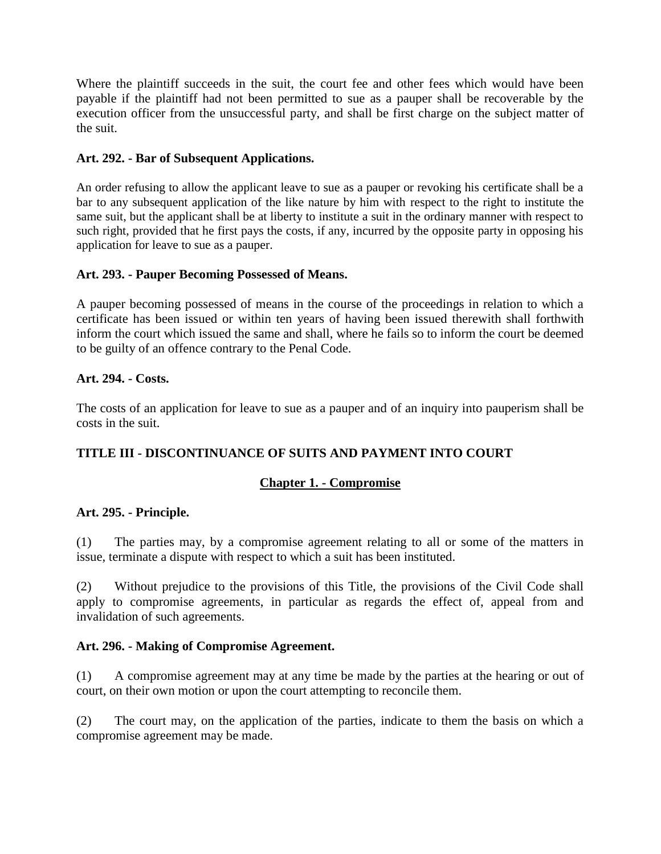Where the plaintiff succeeds in the suit, the court fee and other fees which would have been payable if the plaintiff had not been permitted to sue as a pauper shall be recoverable by the execution officer from the unsuccessful party, and shall be first charge on the subject matter of the suit.

#### **Art. 292. - Bar of Subsequent Applications.**

An order refusing to allow the applicant leave to sue as a pauper or revoking his certificate shall be a bar to any subsequent application of the like nature by him with respect to the right to institute the same suit, but the applicant shall be at liberty to institute a suit in the ordinary manner with respect to such right, provided that he first pays the costs, if any, incurred by the opposite party in opposing his application for leave to sue as a pauper.

#### **Art. 293. - Pauper Becoming Possessed of Means.**

A pauper becoming possessed of means in the course of the proceedings in relation to which a certificate has been issued or within ten years of having been issued therewith shall forthwith inform the court which issued the same and shall, where he fails so to inform the court be deemed to be guilty of an offence contrary to the Penal Code.

#### **Art. 294. - Costs.**

The costs of an application for leave to sue as a pauper and of an inquiry into pauperism shall be costs in the suit.

### **TITLE III - DISCONTINUANCE OF SUITS AND PAYMENT INTO COURT**

### **Chapter 1. - Compromise**

#### **Art. 295. - Principle.**

(1) The parties may, by a compromise agreement relating to all or some of the matters in issue, terminate a dispute with respect to which a suit has been instituted.

(2) Without prejudice to the provisions of this Title, the provisions of the Civil Code shall apply to compromise agreements, in particular as regards the effect of, appeal from and invalidation of such agreements.

#### **Art. 296. - Making of Compromise Agreement.**

(1) A compromise agreement may at any time be made by the parties at the hearing or out of court, on their own motion or upon the court attempting to reconcile them.

(2) The court may, on the application of the parties, indicate to them the basis on which a compromise agreement may be made.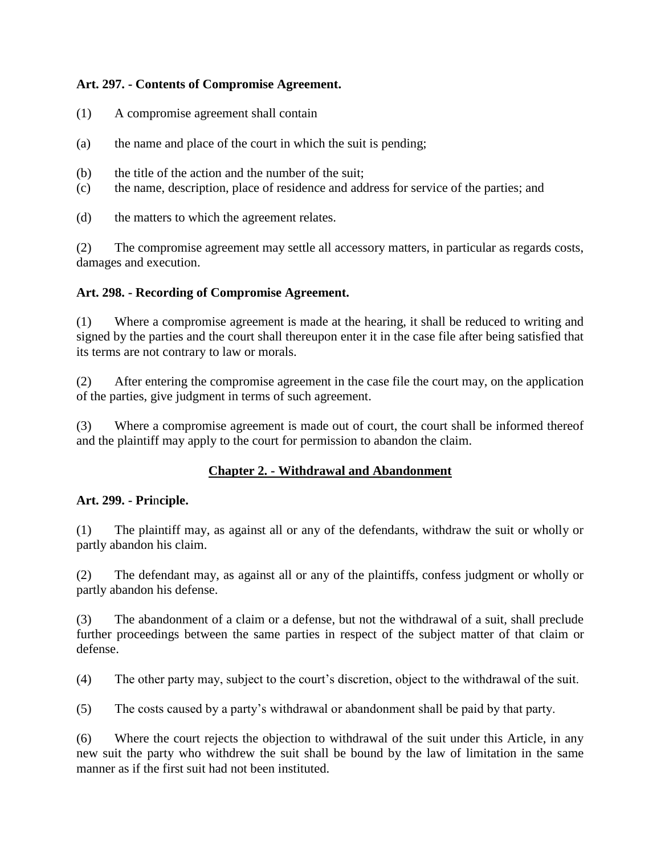### **Art. 297. - Contents of Compromise Agreement.**

- (1) A compromise agreement shall contain
- (a) the name and place of the court in which the suit is pending;
- (b) the title of the action and the number of the suit;
- (c) the name, description, place of residence and address for service of the parties; and

(d) the matters to which the agreement relates.

(2) The compromise agreement may settle all accessory matters, in particular as regards costs, damages and execution.

### **Art. 298. - Recording of Compromise Agreement.**

(1) Where a compromise agreement is made at the hearing, it shall be reduced to writing and signed by the parties and the court shall thereupon enter it in the case file after being satisfied that its terms are not contrary to law or morals.

(2) After entering the compromise agreement in the case file the court may, on the application of the parties, give judgment in terms of such agreement.

(3) Where a compromise agreement is made out of court, the court shall be informed thereof and the plaintiff may apply to the court for permission to abandon the claim.

## **Chapter 2. - Withdrawal and Abandonment**

### **Art. 299. - Pri**n**ciple.**

(1) The plaintiff may, as against all or any of the defendants, withdraw the suit or wholly or partly abandon his claim.

(2) The defendant may, as against all or any of the plaintiffs, confess judgment or wholly or partly abandon his defense.

(3) The abandonment of a claim or a defense, but not the withdrawal of a suit, shall preclude further proceedings between the same parties in respect of the subject matter of that claim or defense.

(4) The other party may, subject to the court's discretion, object to the withdrawal of the suit.

(5) The costs caused by a party's withdrawal or abandonment shall be paid by that party.

(6) Where the court rejects the objection to withdrawal of the suit under this Article, in any new suit the party who withdrew the suit shall be bound by the law of limitation in the same manner as if the first suit had not been instituted.